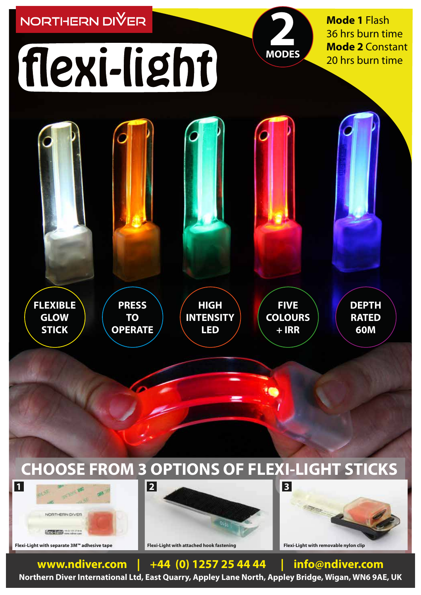NORTHERN DIVER

# **flexi-light**

**Mode 1** Flash 36 hrs burn time **Mode 2** Constant **20 hrs burn time** 



**FLEXIBLE GLOW STICK**





**MODES** 

**DEPTH RATED 60M**









## **www.ndiver.com | +44 (0) 1257 25 44 44 | info@ndiver.com Northern Diver International Ltd, East Quarry, Appley Lane North, Appley Bridge, Wigan, WN6 9AE, UK**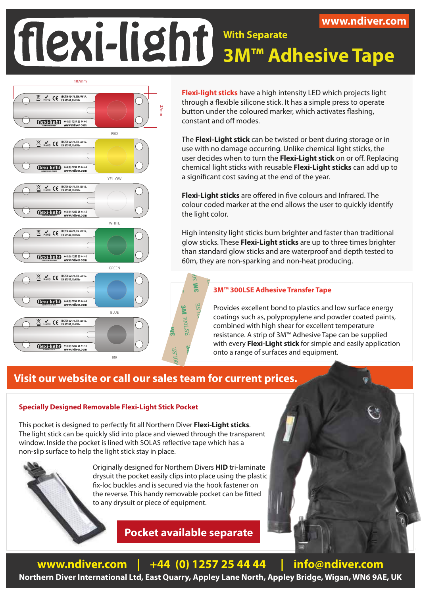# **www.ndiver.com With Separate 3M™ Adhesive Tape**



**Flexi-light sticks** have a high intensity LED which projects light through a flexible silicone stick. It has a simple press to operate button under the coloured marker, which activates flashing, constant and off modes.

The **Flexi-Light stick** can be twisted or bent during storage or in use with no damage occurring. Unlike chemical light sticks, the user decides when to turn the **Flexi-Light stick** on or off. Replacing chemical light sticks with reusable **Flexi-Light sticks** can add up to a significant cost saving at the end of the year.

**Flexi-Light sticks** are offered in five colours and Infrared. The colour coded marker at the end allows the user to quickly identify the light color.

High intensity light sticks burn brighter and faster than traditional glow sticks. These **Flexi-Light sticks** are up to three times brighter than standard glow sticks and are waterproof and depth tested to 60m, they are non-sparking and non-heat producing.

#### **3M™ 300LSE Adhesive Transfer Tape**

Provides excellent bond to plastics and low surface energy coatings such as, polypropylene and powder coated paints, combined with high shear for excellent temperature resistance. A strip of 3M™ Adhesive Tape can be supplied with every **Flexi-Light stick** for simple and easily application onto a range of surfaces and equipment.

# **Visit our website or call our sales team for current prices.**

#### **Specially Designed Removable Flexi-Light Stick Pocket**

This pocket is designed to perfectly fit all Northern Diver Flexi-Light sticks. The light stick can be quickly slid into place and viewed through the transparent window. Inside the pocket is lined with SOLAS reflective tape which has a non-slip surface to help the light stick stay in place.

> Originally designed for Northern Divers **HID** tri-laminate drysuit the pocket easily clips into place using the plastic x-loc buckles and is secured via the hook fastener on the reverse. This handy removable pocket can be fitted to any drysuit or piece of equipment.

 $\frac{5}{3}$ 

**SM** 

**1300CSE** 

**Pocket available separate**

# **www.ndiver.com | +44 (0) 1257 25 44 44 | info@ndiver.com**

**Northern Diver International Ltd, East Quarry, Appley Lane North, Appley Bridge, Wigan, WN6 9AE, UK**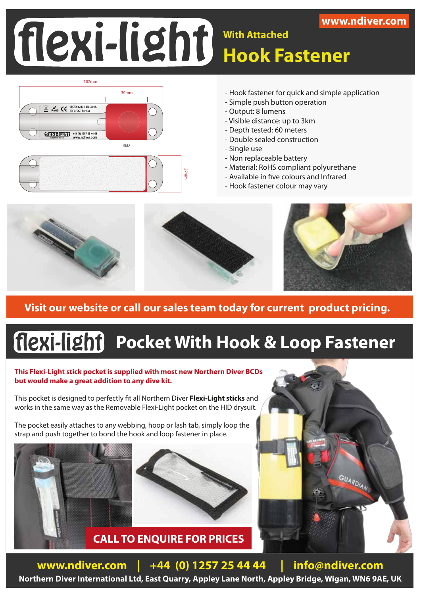# **www.ndiver.com With Attached Hook Fastener**



- Hook fastener for quick and simple application
- Simple push button operation
- Output: 8 lumens
- Visible distance: up to 3km
- Depth tested: 60 meters
- Double sealed construction
- Single use
- Non replaceable battery
- Material: RoHS compliant polyurethane
- Available in five colours and Infrared
- Hook fastener colour may vary



# **Pocket With Hook & Loop Fastener**

**This Flexi-Light stick pocket is supplied with most new Northern Diver BCDs but would make a great addition to any dive kit.**

This pocket is designed to perfectly fit all Northern Diver **Flexi-Light sticks** and works in the same way as the Removable Flexi-Light pocket on the HID drysuit.

The pocket easily attaches to any webbing, hoop or lash tab, simply loop the strap and push together to bond the hook and loop fastener in place.





**www.ndiver.com | +44 (0) 1257 25 44 44 | info@ndiver.com Northern Diver International Ltd, East Quarry, Appley Lane North, Appley Bridge, Wigan, WN6 9AE, UK**